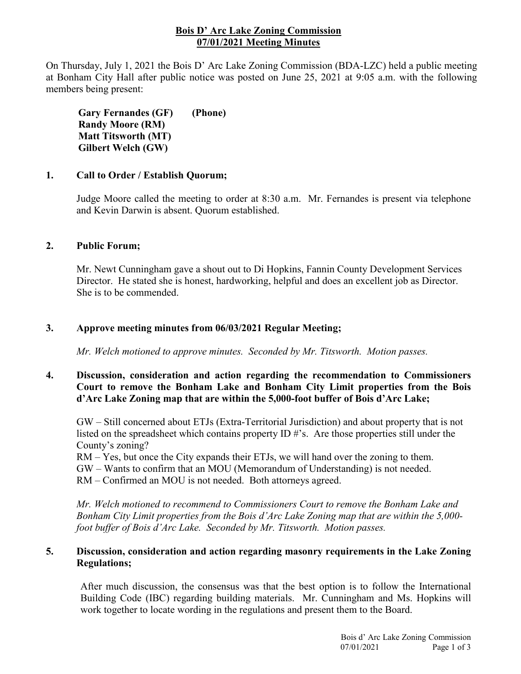## **Bois D' Arc Lake Zoning Commission 07/01/2021 Meeting Minutes**

On Thursday, July 1, 2021 the Bois D' Arc Lake Zoning Commission (BDA-LZC) held a public meeting at Bonham City Hall after public notice was posted on June 25, 2021 at 9:05 a.m. with the following members being present:

**Gary Fernandes (GF) Randy Moore (RM) Matt Titsworth (MT) Gilbert Welch (GW) (Phone)**

## **1. Call to Order / Establish Quorum;**

Judge Moore called the meeting to order at 8:30 a.m. Mr. Fernandes is present via telephone and Kevin Darwin is absent. Quorum established.

## **2. Public Forum;**

Mr. Newt Cunningham gave a shout out to Di Hopkins, Fannin County Development Services Director. He stated she is honest, hardworking, helpful and does an excellent job as Director. She is to be commended.

## **3. Approve meeting minutes from 06/03/2021 Regular Meeting;**

*Mr. Welch motioned to approve minutes. Seconded by Mr. Titsworth. Motion passes.*

# **4. Discussion, consideration and action regarding the recommendation to Commissioners Court to remove the Bonham Lake and Bonham City Limit properties from the Bois d'Arc Lake Zoning map that are within the 5,000-foot buffer of Bois d'Arc Lake;**

GW – Still concerned about ETJs (Extra-Territorial Jurisdiction) and about property that is not listed on the spreadsheet which contains property ID #'s. Are those properties still under the County's zoning?

RM – Yes, but once the City expands their ETJs, we will hand over the zoning to them. GW – Wants to confirm that an MOU (Memorandum of Understanding) is not needed. RM – Confirmed an MOU is not needed. Both attorneys agreed.

*Mr. Welch motioned to recommend to Commissioners Court to remove the Bonham Lake and Bonham City Limit properties from the Bois d'Arc Lake Zoning map that are within the 5,000 foot buffer of Bois d'Arc Lake. Seconded by Mr. Titsworth. Motion passes.* 

## **5. Discussion, consideration and action regarding masonry requirements in the Lake Zoning Regulations;**

After much discussion, the consensus was that the best option is to follow the International Building Code (IBC) regarding building materials. Mr. Cunningham and Ms. Hopkins will work together to locate wording in the regulations and present them to the Board.